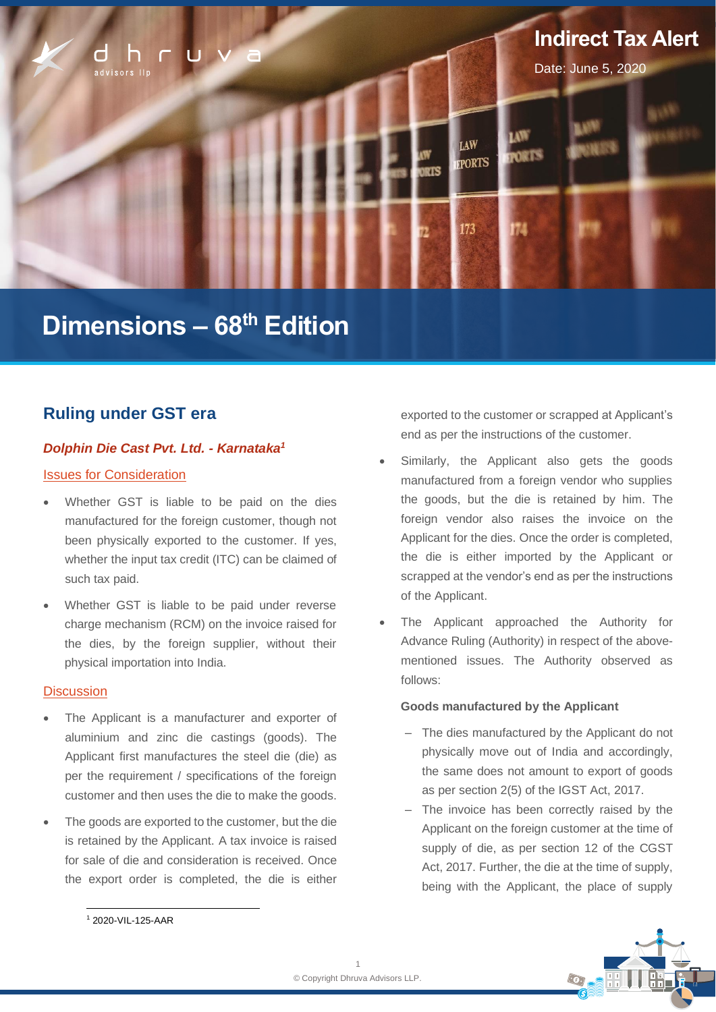

# **Dimensions – 68 th Edition**

# **Ruling under GST era**

### *Dolphin Die Cast Pvt. Ltd. - Karnataka<sup>1</sup>*

### Issues for Consideration

- Whether GST is liable to be paid on the dies manufactured for the foreign customer, though not been physically exported to the customer. If yes, whether the input tax credit (ITC) can be claimed of such tax paid.
- Whether GST is liable to be paid under reverse charge mechanism (RCM) on the invoice raised for the dies, by the foreign supplier, without their physical importation into India.

### **Discussion**

- The Applicant is a manufacturer and exporter of aluminium and zinc die castings (goods). The Applicant first manufactures the steel die (die) as per the requirement / specifications of the foreign customer and then uses the die to make the goods.
- The goods are exported to the customer, but the die is retained by the Applicant. A tax invoice is raised for sale of die and consideration is received. Once the export order is completed, the die is either

exported to the customer or scrapped at Applicant's end as per the instructions of the customer.

- Similarly, the Applicant also gets the goods manufactured from a foreign vendor who supplies the goods, but the die is retained by him. The foreign vendor also raises the invoice on the Applicant for the dies. Once the order is completed, the die is either imported by the Applicant or scrapped at the vendor's end as per the instructions of the Applicant.
- The Applicant approached the Authority for Advance Ruling (Authority) in respect of the abovementioned issues. The Authority observed as follows:

### **Goods manufactured by the Applicant**

- ‒ The dies manufactured by the Applicant do not physically move out of India and accordingly, the same does not amount to export of goods as per section 2(5) of the IGST Act, 2017.
- ‒ The invoice has been correctly raised by the Applicant on the foreign customer at the time of supply of die, as per section 12 of the CGST Act, 2017. Further, the die at the time of supply, being with the Applicant, the place of supply



<sup>1</sup> 2020-VIL-125-AAR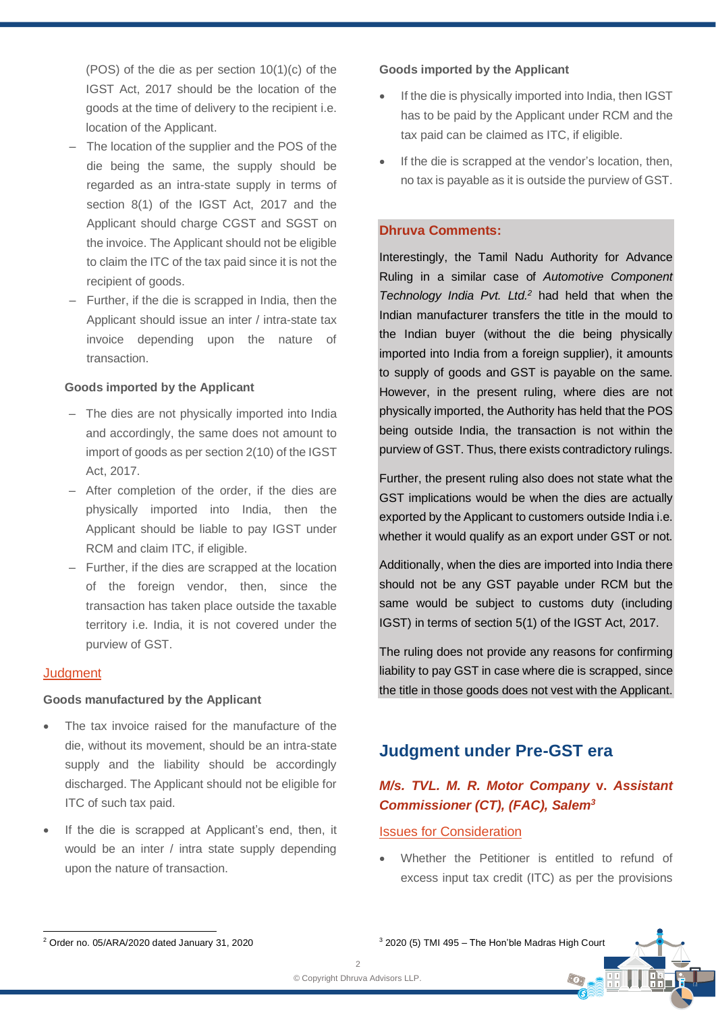(POS) of the die as per section 10(1)(c) of the IGST Act, 2017 should be the location of the goods at the time of delivery to the recipient i.e. location of the Applicant.

- ‒ The location of the supplier and the POS of the die being the same, the supply should be regarded as an intra-state supply in terms of section 8(1) of the IGST Act, 2017 and the Applicant should charge CGST and SGST on the invoice. The Applicant should not be eligible to claim the ITC of the tax paid since it is not the recipient of goods.
- ‒ Further, if the die is scrapped in India, then the Applicant should issue an inter / intra-state tax invoice depending upon the nature of transaction.

#### **Goods imported by the Applicant**

- The dies are not physically imported into India and accordingly, the same does not amount to import of goods as per section 2(10) of the IGST Act, 2017.
- ‒ After completion of the order, if the dies are physically imported into India, then the Applicant should be liable to pay IGST under RCM and claim ITC, if eligible.
- ‒ Further, if the dies are scrapped at the location of the foreign vendor, then, since the transaction has taken place outside the taxable territory i.e. India, it is not covered under the purview of GST.

### **Judgment**

#### **Goods manufactured by the Applicant**

- The tax invoice raised for the manufacture of the die, without its movement, should be an intra-state supply and the liability should be accordingly discharged. The Applicant should not be eligible for ITC of such tax paid.
- If the die is scrapped at Applicant's end, then, it would be an inter / intra state supply depending upon the nature of transaction.

#### **Goods imported by the Applicant**

- If the die is physically imported into India, then IGST has to be paid by the Applicant under RCM and the tax paid can be claimed as ITC, if eligible.
- If the die is scrapped at the vendor's location, then, no tax is payable as it is outside the purview of GST.

### **Dhruva Comments:**

Interestingly, the Tamil Nadu Authority for Advance Ruling in a similar case of *Automotive Component Technology India Pvt. Ltd.<sup>2</sup>* had held that when the Indian manufacturer transfers the title in the mould to the Indian buyer (without the die being physically imported into India from a foreign supplier), it amounts to supply of goods and GST is payable on the same. However, in the present ruling, where dies are not physically imported, the Authority has held that the POS being outside India, the transaction is not within the purview of GST. Thus, there exists contradictory rulings.

Further, the present ruling also does not state what the GST implications would be when the dies are actually exported by the Applicant to customers outside India i.e. whether it would qualify as an export under GST or not.

Additionally, when the dies are imported into India there should not be any GST payable under RCM but the same would be subject to customs duty (including IGST) in terms of section 5(1) of the IGST Act, 2017.

The ruling does not provide any reasons for confirming liability to pay GST in case where die is scrapped, since the title in those goods does not vest with the Applicant.

# **Judgment under Pre-GST era**

## *M/s. TVL. M. R. Motor Company* **v.** *Assistant Commissioner (CT), (FAC), Salem<sup>3</sup>*

### **Issues for Consideration**

Whether the Petitioner is entitled to refund of excess input tax credit (ITC) as per the provisions

 $\odot$ 

 $3$  2020 (5) TMI 495 – The Hon'ble Madras High Court

<sup>2</sup> Order no. 05/ARA/2020 dated January 31, 2020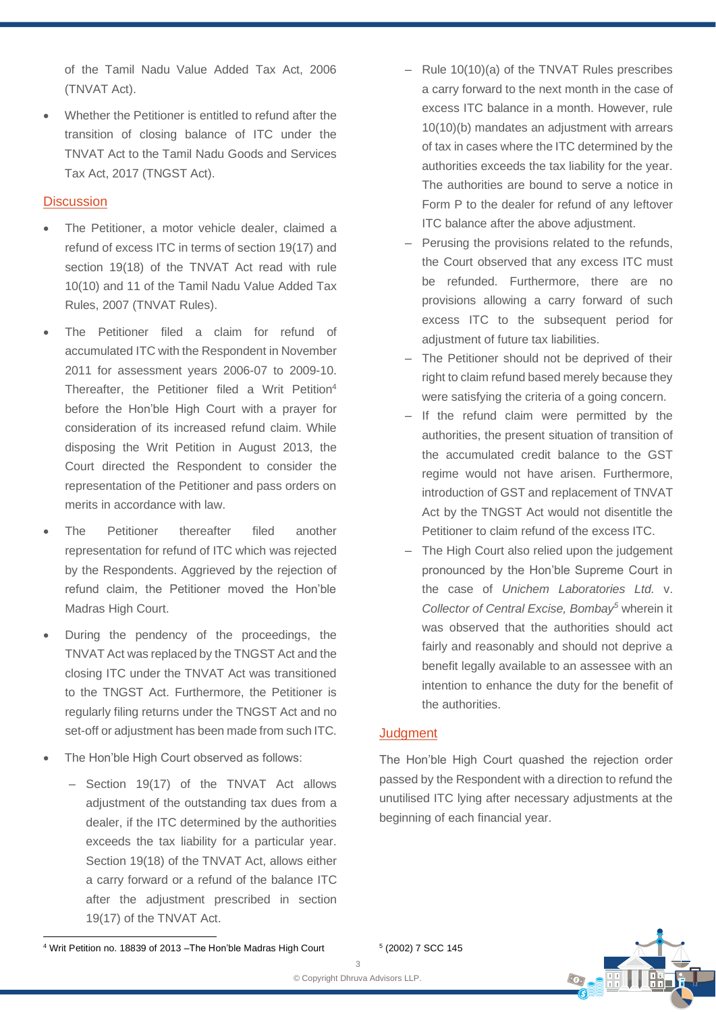of the Tamil Nadu Value Added Tax Act, 2006 (TNVAT Act).

• Whether the Petitioner is entitled to refund after the transition of closing balance of ITC under the TNVAT Act to the Tamil Nadu Goods and Services Tax Act, 2017 (TNGST Act).

### **Discussion**

- The Petitioner, a motor vehicle dealer, claimed a refund of excess ITC in terms of section 19(17) and section 19(18) of the TNVAT Act read with rule 10(10) and 11 of the Tamil Nadu Value Added Tax Rules, 2007 (TNVAT Rules).
- The Petitioner filed a claim for refund of accumulated ITC with the Respondent in November 2011 for assessment years 2006-07 to 2009-10. Thereafter, the Petitioner filed a Writ Petition<sup>4</sup> before the Hon'ble High Court with a prayer for consideration of its increased refund claim. While disposing the Writ Petition in August 2013, the Court directed the Respondent to consider the representation of the Petitioner and pass orders on merits in accordance with law.
- The Petitioner thereafter filed another representation for refund of ITC which was rejected by the Respondents. Aggrieved by the rejection of refund claim, the Petitioner moved the Hon'ble Madras High Court.
- During the pendency of the proceedings, the TNVAT Act was replaced by the TNGST Act and the closing ITC under the TNVAT Act was transitioned to the TNGST Act. Furthermore, the Petitioner is regularly filing returns under the TNGST Act and no set-off or adjustment has been made from such ITC.
- The Hon'ble High Court observed as follows:
	- Section 19(17) of the TNVAT Act allows adjustment of the outstanding tax dues from a dealer, if the ITC determined by the authorities exceeds the tax liability for a particular year. Section 19(18) of the TNVAT Act, allows either a carry forward or a refund of the balance ITC after the adjustment prescribed in section 19(17) of the TNVAT Act.
- ‒ Rule 10(10)(a) of the TNVAT Rules prescribes a carry forward to the next month in the case of excess ITC balance in a month. However, rule 10(10)(b) mandates an adjustment with arrears of tax in cases where the ITC determined by the authorities exceeds the tax liability for the year. The authorities are bound to serve a notice in Form P to the dealer for refund of any leftover ITC balance after the above adjustment.
- Perusing the provisions related to the refunds, the Court observed that any excess ITC must be refunded. Furthermore, there are no provisions allowing a carry forward of such excess ITC to the subsequent period for adjustment of future tax liabilities.
- ‒ The Petitioner should not be deprived of their right to claim refund based merely because they were satisfying the criteria of a going concern.
- ‒ If the refund claim were permitted by the authorities, the present situation of transition of the accumulated credit balance to the GST regime would not have arisen. Furthermore, introduction of GST and replacement of TNVAT Act by the TNGST Act would not disentitle the Petitioner to claim refund of the excess ITC.
- The High Court also relied upon the judgement pronounced by the Hon'ble Supreme Court in the case of *Unichem Laboratories Ltd.* v. *Collector of Central Excise, Bombay<sup>5</sup>* wherein it was observed that the authorities should act fairly and reasonably and should not deprive a benefit legally available to an assessee with an intention to enhance the duty for the benefit of the authorities.

### **Judgment**

The Hon'ble High Court quashed the rejection order passed by the Respondent with a direction to refund the unutilised ITC lying after necessary adjustments at the beginning of each financial year.



<sup>4</sup> Writ Petition no. 18839 of 2013 –The Hon'ble Madras High Court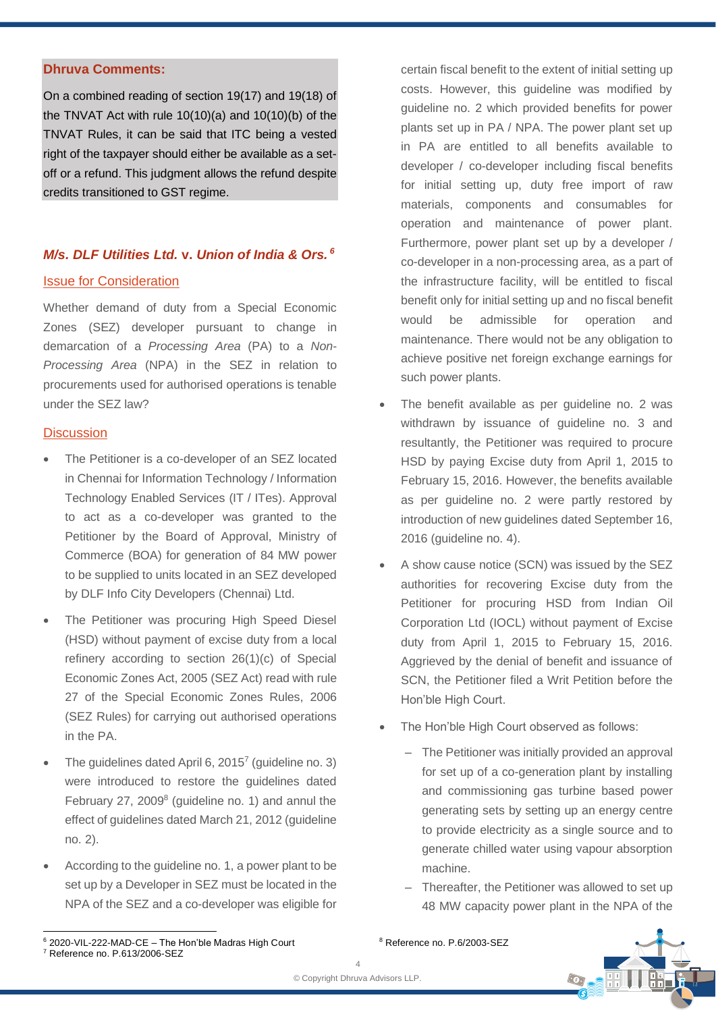### **Dhruva Comments:**

On a combined reading of section 19(17) and 19(18) of the TNVAT Act with rule 10(10)(a) and 10(10)(b) of the TNVAT Rules, it can be said that ITC being a vested right of the taxpayer should either be available as a setoff or a refund. This judgment allows the refund despite credits transitioned to GST regime.

# *M/s. DLF Utilities Ltd.* **v.** *Union of India & Ors. <sup>6</sup>*

### Issue for Consideration

Whether demand of duty from a Special Economic Zones (SEZ) developer pursuant to change in demarcation of a *Processing Area* (PA) to a *Non-Processing Area* (NPA) in the SEZ in relation to procurements used for authorised operations is tenable under the SEZ law?

### **Discussion**

- The Petitioner is a co-developer of an SEZ located in Chennai for Information Technology / Information Technology Enabled Services (IT / ITes). Approval to act as a co-developer was granted to the Petitioner by the Board of Approval, Ministry of Commerce (BOA) for generation of 84 MW power to be supplied to units located in an SEZ developed by DLF Info City Developers (Chennai) Ltd.
- The Petitioner was procuring High Speed Diesel (HSD) without payment of excise duty from a local refinery according to section 26(1)(c) of Special Economic Zones Act, 2005 (SEZ Act) read with rule 27 of the Special Economic Zones Rules, 2006 (SEZ Rules) for carrying out authorised operations in the PA.
- The guidelines dated April 6, 2015<sup>7</sup> (guideline no. 3) were introduced to restore the guidelines dated February 27, 2009<sup>8</sup> (guideline no. 1) and annul the effect of guidelines dated March 21, 2012 (guideline no. 2).
- According to the guideline no. 1, a power plant to be set up by a Developer in SEZ must be located in the NPA of the SEZ and a co-developer was eligible for

certain fiscal benefit to the extent of initial setting up costs. However, this guideline was modified by guideline no. 2 which provided benefits for power plants set up in PA / NPA. The power plant set up in PA are entitled to all benefits available to developer / co-developer including fiscal benefits for initial setting up, duty free import of raw materials, components and consumables for operation and maintenance of power plant. Furthermore, power plant set up by a developer / co-developer in a non-processing area, as a part of the infrastructure facility, will be entitled to fiscal benefit only for initial setting up and no fiscal benefit would be admissible for operation and maintenance. There would not be any obligation to achieve positive net foreign exchange earnings for such power plants.

- The benefit available as per quideline no. 2 was withdrawn by issuance of guideline no. 3 and resultantly, the Petitioner was required to procure HSD by paying Excise duty from April 1, 2015 to February 15, 2016. However, the benefits available as per guideline no. 2 were partly restored by introduction of new guidelines dated September 16, 2016 (guideline no. 4).
- A show cause notice (SCN) was issued by the SEZ authorities for recovering Excise duty from the Petitioner for procuring HSD from Indian Oil Corporation Ltd (IOCL) without payment of Excise duty from April 1, 2015 to February 15, 2016. Aggrieved by the denial of benefit and issuance of SCN, the Petitioner filed a Writ Petition before the Hon'ble High Court.
- The Hon'ble High Court observed as follows:
	- The Petitioner was initially provided an approval for set up of a co-generation plant by installing and commissioning gas turbine based power generating sets by setting up an energy centre to provide electricity as a single source and to generate chilled water using vapour absorption machine.
	- ‒ Thereafter, the Petitioner was allowed to set up 48 MW capacity power plant in the NPA of the



<sup>8</sup> Reference no. P.6/2003-SEZ

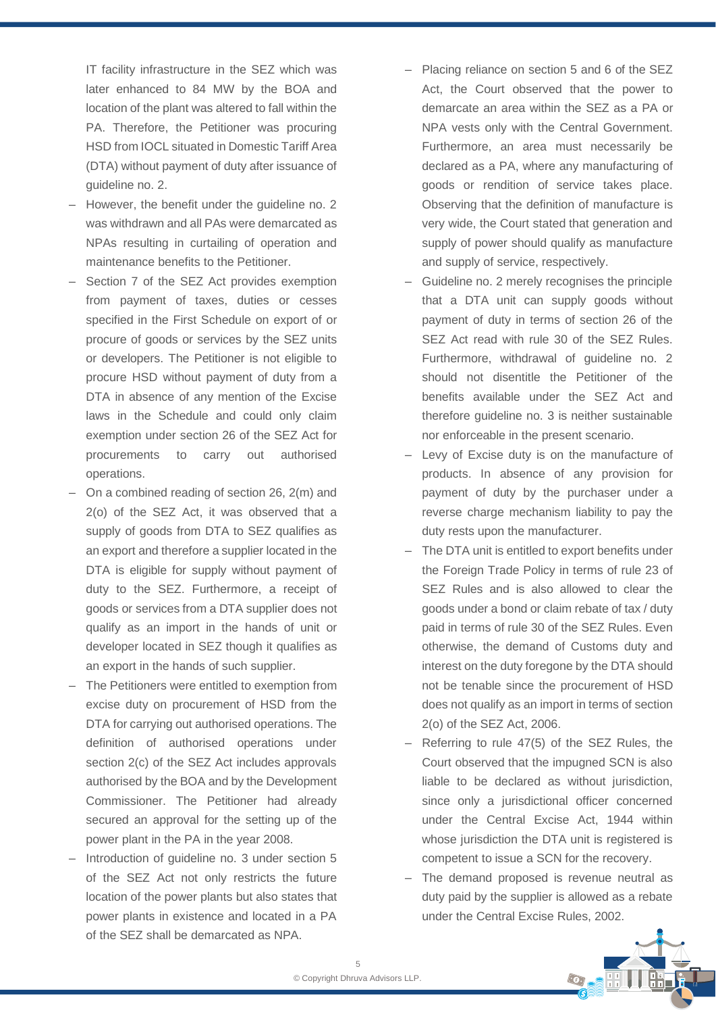IT facility infrastructure in the SEZ which was later enhanced to 84 MW by the BOA and location of the plant was altered to fall within the PA. Therefore, the Petitioner was procuring HSD from IOCL situated in Domestic Tariff Area (DTA) without payment of duty after issuance of guideline no. 2.

- However, the benefit under the guideline no. 2 was withdrawn and all PAs were demarcated as NPAs resulting in curtailing of operation and maintenance benefits to the Petitioner.
- Section 7 of the SEZ Act provides exemption from payment of taxes, duties or cesses specified in the First Schedule on export of or procure of goods or services by the SEZ units or developers. The Petitioner is not eligible to procure HSD without payment of duty from a DTA in absence of any mention of the Excise laws in the Schedule and could only claim exemption under section 26 of the SEZ Act for procurements to carry out authorised operations.
- $-$  On a combined reading of section 26, 2(m) and 2(o) of the SEZ Act, it was observed that a supply of goods from DTA to SEZ qualifies as an export and therefore a supplier located in the DTA is eligible for supply without payment of duty to the SEZ. Furthermore, a receipt of goods or services from a DTA supplier does not qualify as an import in the hands of unit or developer located in SEZ though it qualifies as an export in the hands of such supplier.
- ‒ The Petitioners were entitled to exemption from excise duty on procurement of HSD from the DTA for carrying out authorised operations. The definition of authorised operations under section 2(c) of the SEZ Act includes approvals authorised by the BOA and by the Development Commissioner. The Petitioner had already secured an approval for the setting up of the power plant in the PA in the year 2008.
- Introduction of guideline no. 3 under section 5 of the SEZ Act not only restricts the future location of the power plants but also states that power plants in existence and located in a PA of the SEZ shall be demarcated as NPA.
- Placing reliance on section 5 and 6 of the SEZ Act, the Court observed that the power to demarcate an area within the SEZ as a PA or NPA vests only with the Central Government. Furthermore, an area must necessarily be declared as a PA, where any manufacturing of goods or rendition of service takes place. Observing that the definition of manufacture is very wide, the Court stated that generation and supply of power should qualify as manufacture and supply of service, respectively.
- ‒ Guideline no. 2 merely recognises the principle that a DTA unit can supply goods without payment of duty in terms of section 26 of the SEZ Act read with rule 30 of the SEZ Rules. Furthermore, withdrawal of guideline no. 2 should not disentitle the Petitioner of the benefits available under the SEZ Act and therefore guideline no. 3 is neither sustainable nor enforceable in the present scenario.
- ‒ Levy of Excise duty is on the manufacture of products. In absence of any provision for payment of duty by the purchaser under a reverse charge mechanism liability to pay the duty rests upon the manufacturer.
- The DTA unit is entitled to export benefits under the Foreign Trade Policy in terms of rule 23 of SEZ Rules and is also allowed to clear the goods under a bond or claim rebate of tax / duty paid in terms of rule 30 of the SEZ Rules. Even otherwise, the demand of Customs duty and interest on the duty foregone by the DTA should not be tenable since the procurement of HSD does not qualify as an import in terms of section 2(o) of the SEZ Act, 2006.
- ‒ Referring to rule 47(5) of the SEZ Rules, the Court observed that the impugned SCN is also liable to be declared as without jurisdiction, since only a jurisdictional officer concerned under the Central Excise Act, 1944 within whose jurisdiction the DTA unit is registered is competent to issue a SCN for the recovery.
- The demand proposed is revenue neutral as duty paid by the supplier is allowed as a rebate under the Central Excise Rules, 2002.

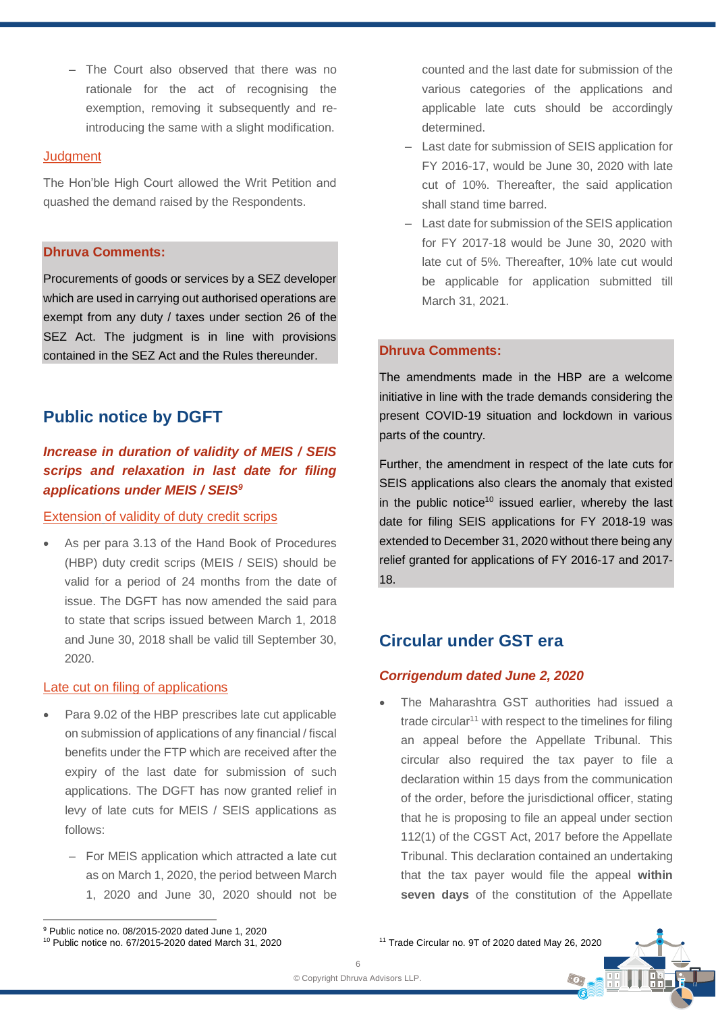- The Court also observed that there was no rationale for the act of recognising the exemption, removing it subsequently and reintroducing the same with a slight modification.

#### **Judament**

The Hon'ble High Court allowed the Writ Petition and quashed the demand raised by the Respondents.

### **Dhruva Comments:**

Procurements of goods or services by a SEZ developer which are used in carrying out authorised operations are exempt from any duty / taxes under section 26 of the SEZ Act. The judgment is in line with provisions contained in the SEZ Act and the Rules thereunder.

# **Public notice by DGFT**

# *Increase in duration of validity of MEIS / SEIS scrips and relaxation in last date for filing applications under MEIS / SEIS<sup>9</sup>*

#### Extension of validity of duty credit scrips

As per para 3.13 of the Hand Book of Procedures (HBP) duty credit scrips (MEIS / SEIS) should be valid for a period of 24 months from the date of issue. The DGFT has now amended the said para to state that scrips issued between March 1, 2018 and June 30, 2018 shall be valid till September 30, 2020.

### Late cut on filing of applications

- Para 9.02 of the HBP prescribes late cut applicable on submission of applications of any financial / fiscal benefits under the FTP which are received after the expiry of the last date for submission of such applications. The DGFT has now granted relief in levy of late cuts for MEIS / SEIS applications as follows:
	- For MEIS application which attracted a late cut as on March 1, 2020, the period between March 1, 2020 and June 30, 2020 should not be

counted and the last date for submission of the various categories of the applications and applicable late cuts should be accordingly determined.

- ‒ Last date for submission of SEIS application for FY 2016-17, would be June 30, 2020 with late cut of 10%. Thereafter, the said application shall stand time barred.
- Last date for submission of the SEIS application for FY 2017-18 would be June 30, 2020 with late cut of 5%. Thereafter, 10% late cut would be applicable for application submitted till March 31, 2021.

### **Dhruva Comments:**

The amendments made in the HBP are a welcome initiative in line with the trade demands considering the present COVID-19 situation and lockdown in various parts of the country.

Further, the amendment in respect of the late cuts for SEIS applications also clears the anomaly that existed in the public notice<sup>10</sup> issued earlier, whereby the last date for filing SEIS applications for FY 2018-19 was extended to December 31, 2020 without there being any relief granted for applications of FY 2016-17 and 2017- 18.

# **Circular under GST era**

### *Corrigendum dated June 2, 2020*

• The Maharashtra GST authorities had issued a trade circular<sup>11</sup> with respect to the timelines for filing an appeal before the Appellate Tribunal. This circular also required the tax payer to file a declaration within 15 days from the communication of the order, before the jurisdictional officer, stating that he is proposing to file an appeal under section 112(1) of the CGST Act, 2017 before the Appellate Tribunal. This declaration contained an undertaking that the tax payer would file the appeal **within seven days** of the constitution of the Appellate

 $\odot$ 

<sup>11</sup> Trade Circular no. 9T of 2020 dated May 26, 2020

<sup>9</sup> Public notice no. 08/2015-2020 dated June 1, 2020 <sup>10</sup> Public notice no. 67/2015-2020 dated March 31, 2020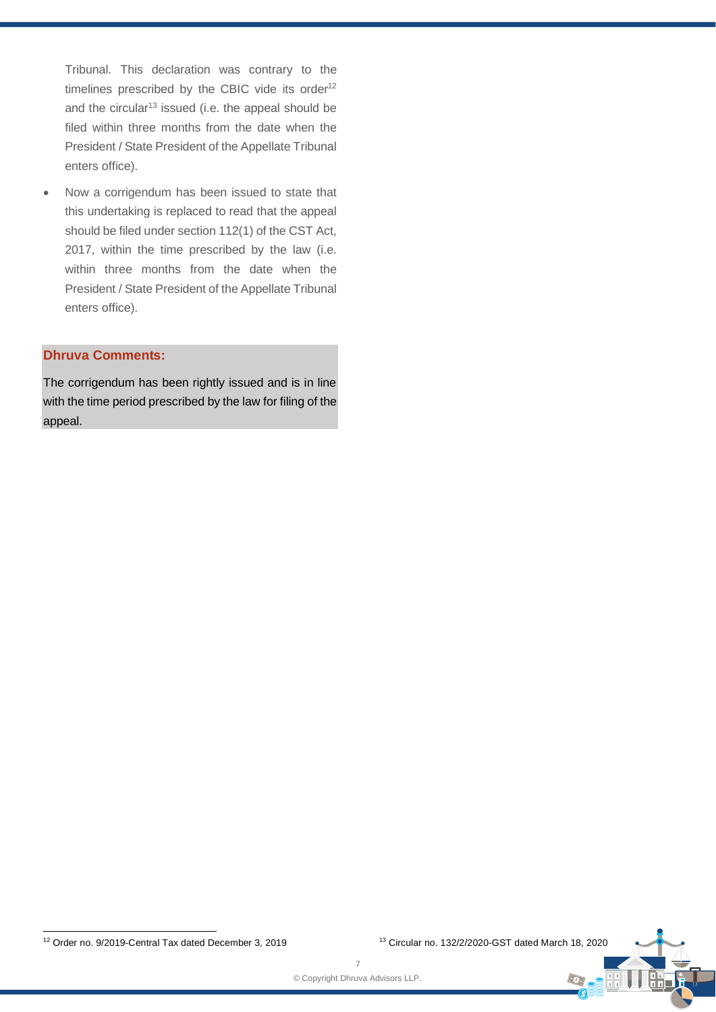Tribunal. This declaration was contrary to the timelines prescribed by the CBIC vide its order $12$ and the circular<sup>13</sup> issued (i.e. the appeal should be filed within three months from the date when the President / State President of the Appellate Tribunal enters office).

Now a corrigendum has been issued to state that this undertaking is replaced to read that the appeal should be filed under section 112(1) of the CST Act, 2017, within the time prescribed by the law (i.e. within three months from the date when the President / State President of the Appellate Tribunal enters office).

### **Dhruva Comments:**

The corrigendum has been rightly issued and is in line with the time period prescribed by the law for filing of the appeal.

<sup>12</sup> Order no. 9/2019-Central Tax dated December 3, 2019 <sup>13</sup> Circular no. 132/2/2020-GST dated March 18, 2020